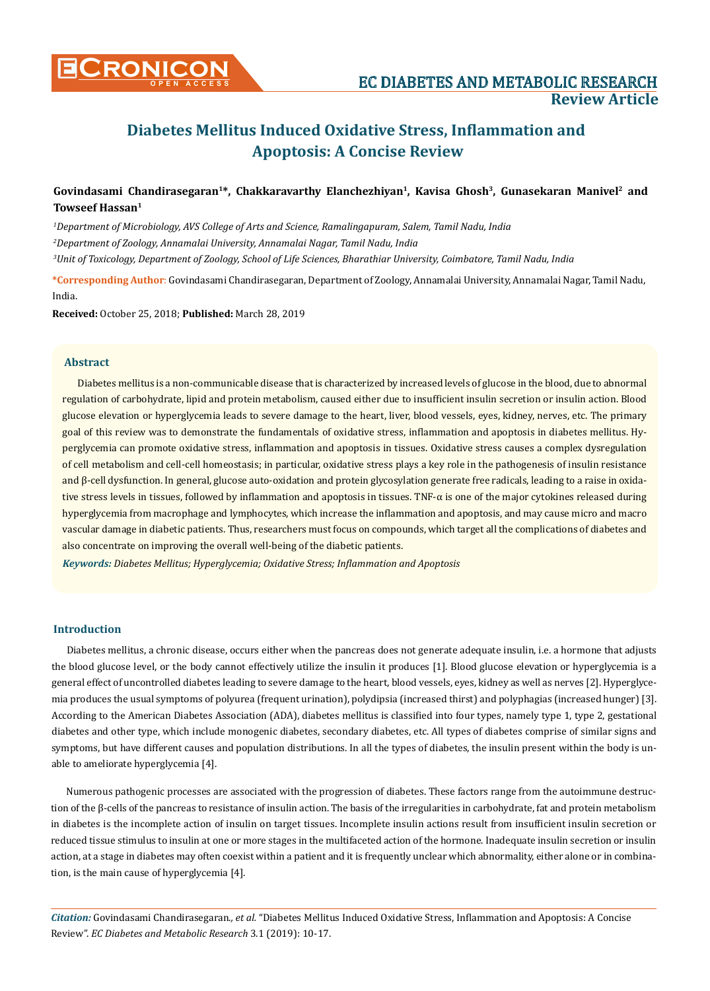

# **CONICON EC DIABETES AND METABOLIC RESEARCH Review Article**

## **Diabetes Mellitus Induced Oxidative Stress, Inflammation and Apoptosis: A Concise Review**

## **Govindasami Chandirasegaran<sup>1</sup>\*, Chakkaravarthy Elanchezhiyan<sup>1</sup>, Kavisa Ghosh<sup>3</sup>, Gunasekaran Manivel2 and Towseef Hassan<sup>1</sup>**

*1 Department of Microbiology, AVS College of Arts and Science, Ramalingapuram, Salem, Tamil Nadu, India 2 Department of Zoology, Annamalai University, Annamalai Nagar, Tamil Nadu, India 3 Unit of Toxicology, Department of Zoology, School of Life Sciences, Bharathiar University, Coimbatore, Tamil Nadu, India*

**\*Corresponding Author**: Govindasami Chandirasegaran, Department of Zoology, Annamalai University, Annamalai Nagar, Tamil Nadu, India.

**Received:** October 25, 2018; **Published:** March 28, 2019

#### **Abstract**

Diabetes mellitus is a non-communicable disease that is characterized by increased levels of glucose in the blood, due to abnormal regulation of carbohydrate, lipid and protein metabolism, caused either due to insufficient insulin secretion or insulin action. Blood glucose elevation or hyperglycemia leads to severe damage to the heart, liver, blood vessels, eyes, kidney, nerves, etc. The primary goal of this review was to demonstrate the fundamentals of oxidative stress, inflammation and apoptosis in diabetes mellitus. Hyperglycemia can promote oxidative stress, inflammation and apoptosis in tissues. Oxidative stress causes a complex dysregulation of cell metabolism and cell-cell homeostasis; in particular, oxidative stress plays a key role in the pathogenesis of insulin resistance and β-cell dysfunction. In general, glucose auto-oxidation and protein glycosylation generate free radicals, leading to a raise in oxidative stress levels in tissues, followed by inflammation and apoptosis in tissues. TNF-α is one of the major cytokines released during hyperglycemia from macrophage and lymphocytes, which increase the inflammation and apoptosis, and may cause micro and macro vascular damage in diabetic patients. Thus, researchers must focus on compounds, which target all the complications of diabetes and also concentrate on improving the overall well-being of the diabetic patients.

*Keywords: Diabetes Mellitus; Hyperglycemia; Oxidative Stress; Inflammation and Apoptosis*

#### **Introduction**

Diabetes mellitus, a chronic disease, occurs either when the pancreas does not generate adequate insulin, i.e. a hormone that adjusts the blood glucose level, or the body cannot effectively utilize the insulin it produces [1]. Blood glucose elevation or hyperglycemia is a general effect of uncontrolled diabetes leading to severe damage to the heart, blood vessels, eyes, kidney as well as nerves [2]. Hyperglycemia produces the usual symptoms of polyurea (frequent urination), polydipsia (increased thirst) and polyphagias (increased hunger) [3]. According to the American Diabetes Association (ADA), diabetes mellitus is classified into four types, namely type 1, type 2, gestational diabetes and other type, which include monogenic diabetes, secondary diabetes, etc. All types of diabetes comprise of similar signs and symptoms, but have different causes and population distributions. In all the types of diabetes, the insulin present within the body is unable to ameliorate hyperglycemia [4].

Numerous pathogenic processes are associated with the progression of diabetes. These factors range from the autoimmune destruction of the β-cells of the pancreas to resistance of insulin action. The basis of the irregularities in carbohydrate, fat and protein metabolism in diabetes is the incomplete action of insulin on target tissues. Incomplete insulin actions result from insufficient insulin secretion or reduced tissue stimulus to insulin at one or more stages in the multifaceted action of the hormone. Inadequate insulin secretion or insulin action, at a stage in diabetes may often coexist within a patient and it is frequently unclear which abnormality, either alone or in combination, is the main cause of hyperglycemia [4].

*Citation:* Govindasami Chandirasegaran*., et al.* "Diabetes Mellitus Induced Oxidative Stress, Inflammation and Apoptosis: A Concise Review". *EC Diabetes and Metabolic Research* 3.1 (2019): 10-17.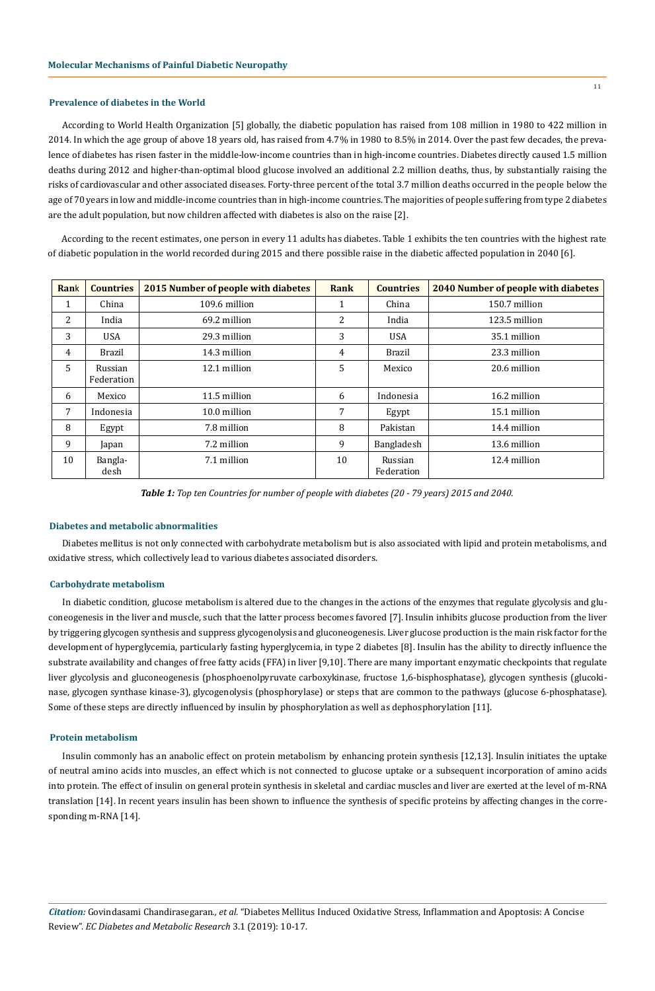#### **Prevalence of diabetes in the World**

According to World Health Organization [5] globally, the diabetic population has raised from 108 million in 1980 to 422 million in 2014. In which the age group of above 18 years old, has raised from 4.7% in 1980 to 8.5% in 2014. Over the past few decades, the prevalence of diabetes has risen faster in the middle-low-income countries than in high-income countries. Diabetes directly caused 1.5 million deaths during 2012 and higher-than-optimal blood glucose involved an additional 2.2 million deaths, thus, by substantially raising the risks of cardiovascular and other associated diseases. Forty-three percent of the total 3.7 million deaths occurred in the people below the age of 70 years in low and middle-income countries than in high-income countries. The majorities of people suffering from type 2 diabetes are the adult population, but now children affected with diabetes is also on the raise [2].

According to the recent estimates, one person in every 11 adults has diabetes. Table 1 exhibits the ten countries with the highest rate of diabetic population in the world recorded during 2015 and there possible raise in the diabetic affected population in 2040 [6].

| Rank | <b>Countries</b>      | 2015 Number of people with diabetes | Rank | <b>Countries</b>      | <b>2040 Number of people with diabetes</b> |  |
|------|-----------------------|-------------------------------------|------|-----------------------|--------------------------------------------|--|
| 1    | China                 | 109.6 million                       | 1    | China                 | 150.7 million                              |  |
| 2    | India                 | 69.2 million                        | 2    | India                 | 123.5 million                              |  |
| 3    | <b>USA</b>            | 29.3 million                        | 3    | <b>USA</b>            | 35.1 million                               |  |
| 4    | Brazil                | 14.3 million                        | 4    | Brazil                | 23.3 million                               |  |
| 5    | Russian<br>Federation | 12.1 million                        | 5    | Mexico                | 20.6 million                               |  |
| 6    | Mexico                | 11.5 million                        | 6    | Indonesia             | 16.2 million                               |  |
| 7    | Indonesia             | 10.0 million                        | 7    | Egypt                 | 15.1 million                               |  |
| 8    | Egypt                 | 7.8 million                         | 8    | Pakistan              | 14.4 million                               |  |
| 9    | Japan                 | 7.2 million                         | 9    | Bangladesh            | 13.6 million                               |  |
| 10   | Bangla-<br>desh       | 7.1 million                         | 10   | Russian<br>Federation | 12.4 million                               |  |

*Table 1: Top ten Countries for number of people with diabetes (20 - 79 years) 2015 and 2040.*

#### **Diabetes and metabolic abnormalities**

Diabetes mellitus is not only connected with carbohydrate metabolism but is also associated with lipid and protein metabolisms, and oxidative stress, which collectively lead to various diabetes associated disorders.

#### **Carbohydrate metabolism**

In diabetic condition, glucose metabolism is altered due to the changes in the actions of the enzymes that regulate glycolysis and gluconeogenesis in the liver and muscle, such that the latter process becomes favored [7]. Insulin inhibits glucose production from the liver by triggering glycogen synthesis and suppress glycogenolysis and gluconeogenesis. Liver glucose production is the main risk factor for the development of hyperglycemia, particularly fasting hyperglycemia, in type 2 diabetes [8]. Insulin has the ability to directly influence the substrate availability and changes of free fatty acids (FFA) in liver [9,10]. There are many important enzymatic checkpoints that regulate liver glycolysis and gluconeogenesis (phosphoenolpyruvate carboxykinase, fructose 1,6-bisphosphatase), glycogen synthesis (glucokinase, glycogen synthase kinase-3), glycogenolysis (phosphorylase) or steps that are common to the pathways (glucose 6-phosphatase). Some of these steps are directly influenced by insulin by phosphorylation as well as dephosphorylation [11].

#### **Protein metabolism**

Insulin commonly has an anabolic effect on protein metabolism by enhancing protein synthesis [12,13]. Insulin initiates the uptake of neutral amino acids into muscles, an effect which is not connected to glucose uptake or a subsequent incorporation of amino acids into protein. The effect of insulin on general protein synthesis in skeletal and cardiac muscles and liver are exerted at the level of m-RNA translation [14]. In recent years insulin has been shown to influence the synthesis of specific proteins by affecting changes in the corresponding m-RNA [14].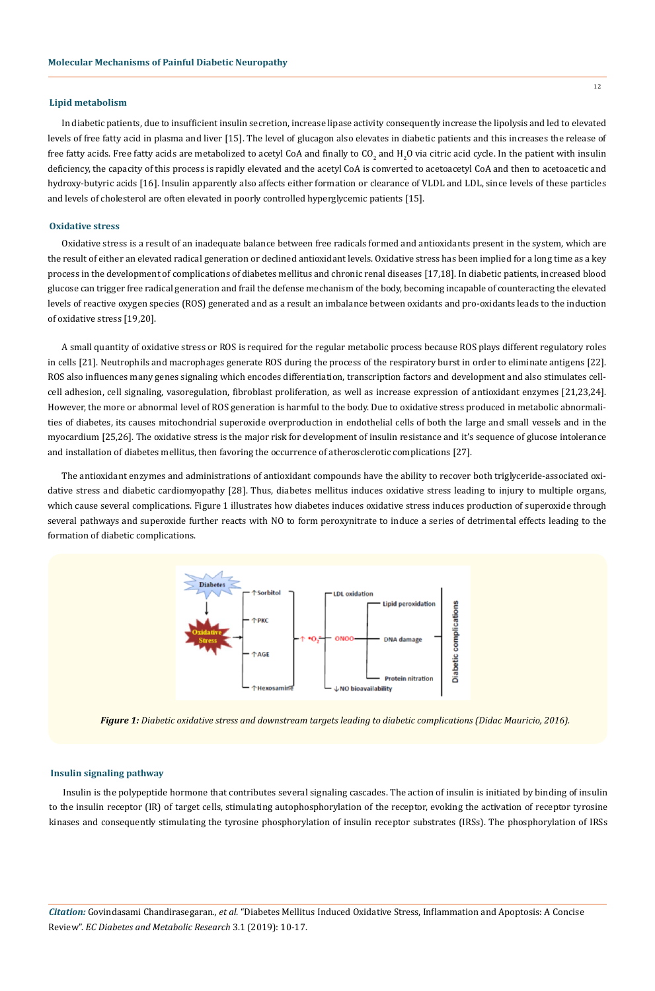#### **Lipid metabolism**

In diabetic patients, due to insufficient insulin secretion, increase lipase activity consequently increase the lipolysis and led to elevated levels of free fatty acid in plasma and liver [15]. The level of glucagon also elevates in diabetic patients and this increases the release of free fatty acids. Free fatty acids are metabolized to acetyl CoA and finally to CO<sub>2</sub> and H<sub>2</sub>O via citric acid cycle. In the patient with insulin deficiency, the capacity of this process is rapidly elevated and the acetyl CoA is converted to acetoacetyl CoA and then to acetoacetic and hydroxy-butyric acids [16]. Insulin apparently also affects either formation or clearance of VLDL and LDL, since levels of these particles and levels of cholesterol are often elevated in poorly controlled hyperglycemic patients [15].

### **Oxidative stress**

Oxidative stress is a result of an inadequate balance between free radicals formed and antioxidants present in the system, which are the result of either an elevated radical generation or declined antioxidant levels. Oxidative stress has been implied for a long time as a key process in the development of complications of diabetes mellitus and chronic renal diseases [17,18]. In diabetic patients, increased blood glucose can trigger free radical generation and frail the defense mechanism of the body, becoming incapable of counteracting the elevated levels of reactive oxygen species (ROS) generated and as a result an imbalance between oxidants and pro-oxidants leads to the induction of oxidative stress [19,20].

A small quantity of oxidative stress or ROS is required for the regular metabolic process because ROS plays different regulatory roles in cells [21]. Neutrophils and macrophages generate ROS during the process of the respiratory burst in order to eliminate antigens [22]. ROS also influences many genes signaling which encodes differentiation, transcription factors and development and also stimulates cellcell adhesion, cell signaling, vasoregulation, fibroblast proliferation, as well as increase expression of antioxidant enzymes [21,23,24]. However, the more or abnormal level of ROS generation is harmful to the body. Due to oxidative stress produced in metabolic abnormalities of diabetes, its causes mitochondrial superoxide overproduction in endothelial cells of both the large and small vessels and in the myocardium [25,26]. The oxidative stress is the major risk for development of insulin resistance and it's sequence of glucose intolerance and installation of diabetes mellitus, then favoring the occurrence of atherosclerotic complications [27].

The antioxidant enzymes and administrations of antioxidant compounds have the ability to recover both triglyceride-associated oxidative stress and diabetic cardiomyopathy [28]. Thus, diabetes mellitus induces oxidative stress leading to injury to multiple organs, which cause several complications. Figure 1 illustrates how diabetes induces oxidative stress induces production of superoxide through several pathways and superoxide further reacts with NO to form peroxynitrate to induce a series of detrimental effects leading to the formation of diabetic complications.



*Figure 1: Diabetic oxidative stress and downstream targets leading to diabetic complications (Didac Mauricio, 2016).*

#### **Insulin signaling pathway**

Insulin is the polypeptide hormone that contributes several signaling cascades. The action of insulin is initiated by binding of insulin to the insulin receptor (IR) of target cells, stimulating autophosphorylation of the receptor, evoking the activation of receptor tyrosine kinases and consequently stimulating the tyrosine phosphorylation of insulin receptor substrates (IRSs). The phosphorylation of IRSs

*Citation:* Govindasami Chandirasegaran*., et al.* "Diabetes Mellitus Induced Oxidative Stress, Inflammation and Apoptosis: A Concise Review". *EC Diabetes and Metabolic Research* 3.1 (2019): 10-17.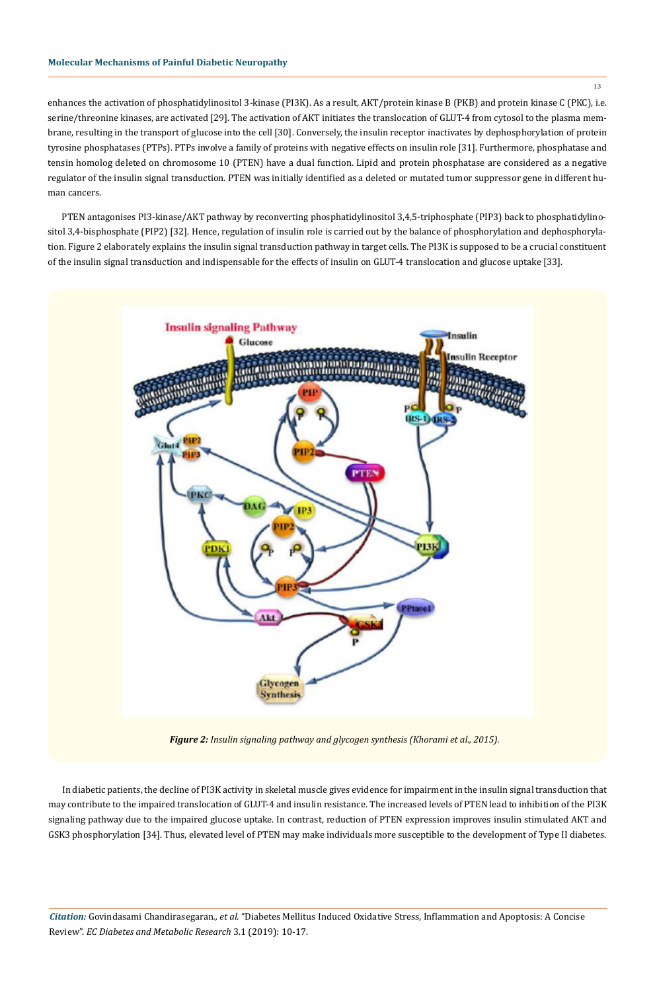#### **Molecular Mechanisms of Painful Diabetic Neuropathy**

enhances the activation of phosphatidylinositol 3-kinase (PI3K). As a result, AKT/protein kinase B (PKB) and protein kinase C (PKC), i.e. serine/threonine kinases, are activated [29]. The activation of AKT initiates the translocation of GLUT-4 from cytosol to the plasma membrane, resulting in the transport of glucose into the cell [30]. Conversely, the insulin receptor inactivates by dephosphorylation of protein tyrosine phosphatases (PTPs). PTPs involve a family of proteins with negative effects on insulin role [31]. Furthermore, phosphatase and tensin homolog deleted on chromosome 10 (PTEN) have a dual function. Lipid and protein phosphatase are considered as a negative regulator of the insulin signal transduction. PTEN was initially identified as a deleted or mutated tumor suppressor gene in different human cancers.

PTEN antagonises PI3-kinase/AKT pathway by reconverting phosphatidylinositol 3,4,5-triphosphate (PIP3) back to phosphatidylinositol 3,4-bisphosphate (PIP2) [32]. Hence, regulation of insulin role is carried out by the balance of phosphorylation and dephosphorylation. Figure 2 elaborately explains the insulin signal transduction pathway in target cells. The PI3K is supposed to be a crucial constituent of the insulin signal transduction and indispensable for the effects of insulin on GLUT-4 translocation and glucose uptake [33].



*Figure 2: Insulin signaling pathway and glycogen synthesis (Khorami et al., 2015).*

In diabetic patients, the decline of PI3K activity in skeletal muscle gives evidence for impairment in the insulin signal transduction that may contribute to the impaired translocation of GLUT-4 and insulin resistance. The increased levels of PTEN lead to inhibition of the PI3K signaling pathway due to the impaired glucose uptake. In contrast, reduction of PTEN expression improves insulin stimulated AKT and GSK3 phosphorylation [34]. Thus, elevated level of PTEN may make individuals more susceptible to the development of Type II diabetes.

*Citation:* Govindasami Chandirasegaran*., et al.* "Diabetes Mellitus Induced Oxidative Stress, Inflammation and Apoptosis: A Concise Review". *EC Diabetes and Metabolic Research* 3.1 (2019): 10-17.

13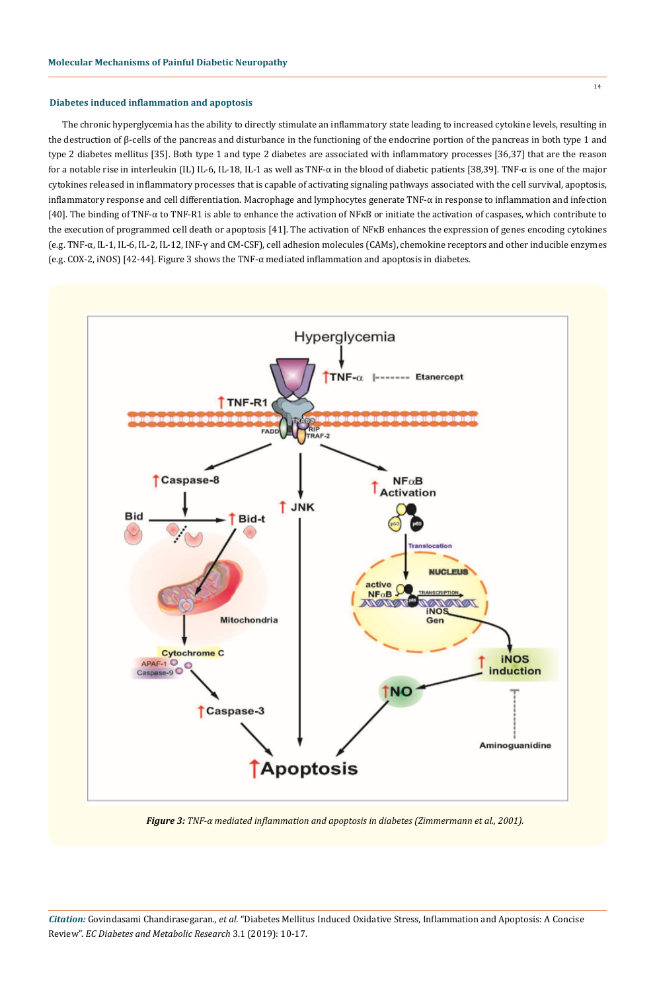#### **Diabetes induced inflammation and apoptosis**

The chronic hyperglycemia has the ability to directly stimulate an inflammatory state leading to increased cytokine levels, resulting in the destruction of β-cells of the pancreas and disturbance in the functioning of the endocrine portion of the pancreas in both type 1 and type 2 diabetes mellitus [35]. Both type 1 and type 2 diabetes are associated with inflammatory processes [36,37] that are the reason for a notable rise in interleukin (IL) IL-6, IL-18, IL-1 as well as TNF-α in the blood of diabetic patients [38,39]. TNF-α is one of the major cytokines released in inflammatory processes that is capable of activating signaling pathways associated with the cell survival, apoptosis, inflammatory response and cell differentiation. Macrophage and lymphocytes generate TNF-α in response to inflammation and infection [40]. The binding of TNF-α to TNF-R1 is able to enhance the activation of NFκB or initiate the activation of caspases, which contribute to the execution of programmed cell death or apoptosis [41]. The activation of NFκB enhances the expression of genes encoding cytokines (e.g. TNF-α, IL-1, IL-6, IL-2, IL-12, INF-γ and CM-CSF), cell adhesion molecules (CAMs), chemokine receptors and other inducible enzymes (e.g. COX-2, iNOS) [42-44]. Figure 3 shows the TNF-α mediated inflammation and apoptosis in diabetes.



*Figure 3: TNF-α mediated inflammation and apoptosis in diabetes (Zimmermann et al., 2001).*

*Citation:* Govindasami Chandirasegaran*., et al.* "Diabetes Mellitus Induced Oxidative Stress, Inflammation and Apoptosis: A Concise Review". *EC Diabetes and Metabolic Research* 3.1 (2019): 10-17.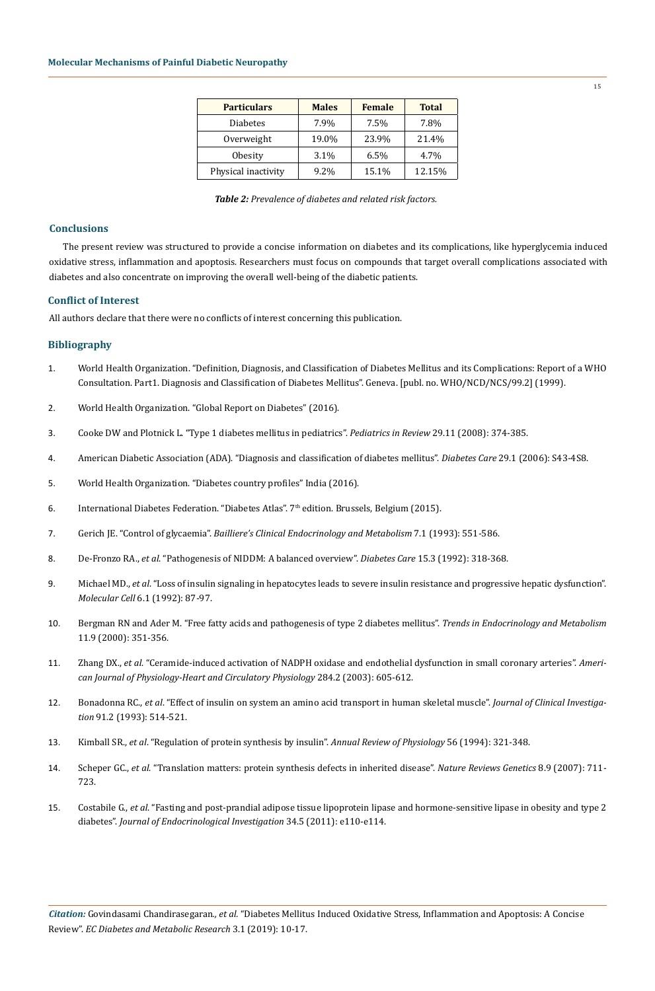| <b>Particulars</b>  | <b>Males</b> | <b>Female</b> | <b>Total</b> |
|---------------------|--------------|---------------|--------------|
| <b>Diabetes</b>     | 7.9%         | 7.5%          | 7.8%         |
| Overweight          | 19.0%        | 23.9%         | 21.4%        |
| Obesity             | 3.1%         | 6.5%          | 4.7%         |
| Physical inactivity | 9.2%         | 15.1%         | 12.15%       |

*Table 2: Prevalence of diabetes and related risk factors.*

#### **Conclusions**

The present review was structured to provide a concise information on diabetes and its complications, like hyperglycemia induced oxidative stress, inflammation and apoptosis. Researchers must focus on compounds that target overall complications associated with diabetes and also concentrate on improving the overall well-being of the diabetic patients.

#### **Conflict of Interest**

All authors declare that there were no conflicts of interest concerning this publication.

## **Bibliography**

- 1. World Health Organization. "Definition, Diagnosis, and Classification of Diabetes Mellitus and its Complications: Report of a WHO Consultation. Part1. Diagnosis and Classification of Diabetes Mellitus". Geneva. [publ. no. WHO/NCD/NCS/99.2] (1999).
- 2. [World Health Organization. "Global Report on Diabetes" \(2016\).](http://apps.who.int/iris/bitstream/10665/204871/1/9789241565257_eng.pdf?ua=1&ua=1)
- 3. [Cooke DW and Plotnick L. "Type 1 diabetes mellitus in pediatrics".](https://www.ncbi.nlm.nih.gov/pubmed/18977856) *Pediatrics in Review* 29.11 (2008): 374-385.
- 4. [American Diabetic Association \(ADA\). "Diagnosis and classification of diabetes mellitus".](https://www.ncbi.nlm.nih.gov/pubmed/16373932) *Diabetes Care* 29.1 (2006): S43-4S8.
- 5. [World Health Organization. "Diabetes country profiles" India \(2016\).](http://www.who.int/diabetes/country-profiles/ind_en.pdf)
- 6. International Diabetes Federation. "Diabetes Atlas".  $7<sup>th</sup>$  edition. Brussels, Belgium (2015).
- 7. Gerich JE. "Control of glycaemia". *[Bailliere's Clinical Endocrinology and Metabolism](https://www.ncbi.nlm.nih.gov/pubmed/8379904)* 7.1 (1993): 551-586.
- 8. De-Fronzo RA., *et al*[. "Pathogenesis of NIDDM: A balanced overview".](https://www.ncbi.nlm.nih.gov/pubmed/1532777) *Diabetes Care* 15.3 (1992): 318-368.
- 9. Michael MD., *et al*[. "Loss of insulin signaling in hepatocytes leads to severe insulin resistance and progressive hepatic dysfunction".](https://www.ncbi.nlm.nih.gov/pubmed/10949030)  *Molecular Cell* [6.1 \(1992\): 87-97.](https://www.ncbi.nlm.nih.gov/pubmed/10949030)
- 10. [Bergman RN and Ader M. "Free fatty acids and pathogenesis of type 2 diabetes mellitus".](https://www.ncbi.nlm.nih.gov/pubmed/11042464) *Trends in Endocrinology and Metabolism*  [11.9 \(2000\): 351-356.](https://www.ncbi.nlm.nih.gov/pubmed/11042464)
- 11. Zhang DX., *et al*[. "Ceramide-induced activation of NADPH oxidase and endothelial dysfunction in small coronary arteries".](https://www.ncbi.nlm.nih.gov/pubmed/12424096) *Ameri[can Journal of Physiology-Heart and Circulatory Physiology](https://www.ncbi.nlm.nih.gov/pubmed/12424096)* 284.2 (2003): 605-612.
- 12. Bonadonna RC., *et al*[. "Effect of insulin on system an amino acid transport in human skeletal muscle".](https://www.ncbi.nlm.nih.gov/pubmed/8432860) *Journal of Clinical Investigation* [91.2 \(1993\): 514-521.](https://www.ncbi.nlm.nih.gov/pubmed/8432860)
- 13. Kimball SR., *et al*[. "Regulation of protein synthesis by insulin".](https://www.ncbi.nlm.nih.gov/pubmed/8010743) *Annual Review of Physiology* 56 (1994): 321-348.
- 14. Scheper GC., *et al*[. "Translation matters: protein synthesis defects in inherited disease".](https://www.ncbi.nlm.nih.gov/pubmed/17680008) *Nature Reviews Genetics* 8.9 (2007): 711- [723.](https://www.ncbi.nlm.nih.gov/pubmed/17680008)
- 15. Costabile G., *et al*[. "Fasting and post-prandial adipose tissue lipoprotein lipase and hormone-sensitive lipase in obesity and type 2](https://www.ncbi.nlm.nih.gov/pubmed/20926921) diabetes". *[Journal of Endocrinological Investigation](https://www.ncbi.nlm.nih.gov/pubmed/20926921)* 34.5 (2011): e110-e114.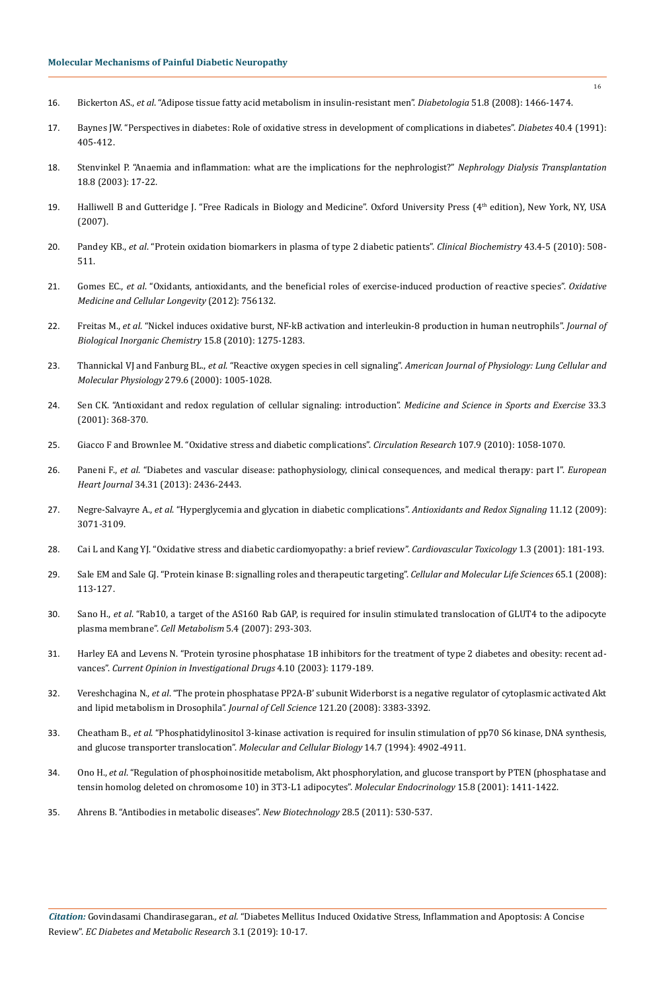- 16. Bickerton AS., *et al*[. "Adipose tissue fatty acid metabolism in insulin-resistant men".](https://www.ncbi.nlm.nih.gov/pubmed/18504545) *Diabetologia* 51.8 (2008): 1466-1474.
- 17. [Baynes JW. "Perspectives in diabetes: Role of oxidative stress in development of complications in diabetes".](https://www.ncbi.nlm.nih.gov/pubmed/2010041) *Diabetes* 40.4 (1991): [405-412.](https://www.ncbi.nlm.nih.gov/pubmed/2010041)
- 18. [Stenvinkel P. "Anaemia and inflammation: what are the implications for the nephrologist?"](https://www.ncbi.nlm.nih.gov/pubmed/14607995) *Nephrology Dialysis Transplantation*  [18.8 \(2003\): 17-22.](https://www.ncbi.nlm.nih.gov/pubmed/14607995)
- 19. Halliwell B and Gutteridge J. "Free Radicals in Biology and Medicine". Oxford University Press (4<sup>th</sup> edition), New York, NY, USA (2007).
- 20. Pandey KB., *et al*[. "Protein oxidation biomarkers in plasma of type 2 diabetic patients".](https://www.ncbi.nlm.nih.gov/pubmed/19941844) *Clinical Biochemistry* 43.4-5 (2010): 508- [511.](https://www.ncbi.nlm.nih.gov/pubmed/19941844)
- 21. Gomes EC., *et al*[. "Oxidants, antioxidants, and the beneficial roles of exercise-induced production of reactive species".](https://www.ncbi.nlm.nih.gov/pubmed/22701757) *Oxidative [Medicine and Cellular Longevity](https://www.ncbi.nlm.nih.gov/pubmed/22701757)* (2012): 756132.
- 22. Freitas M., *et al*[. "Nickel induces oxidative burst, NF-kB activation and interleukin-8 production in human neutrophils".](https://www.ncbi.nlm.nih.gov/pubmed/20632048) *Journal of [Biological Inorganic Chemistry](https://www.ncbi.nlm.nih.gov/pubmed/20632048)* 15.8 (2010): 1275-1283.
- 23. Thannickal VJ and Fanburg BL., *et al*. "Reactive oxygen species in cell signaling". *[American Journal of Physiology: Lung Cellular and](https://www.ncbi.nlm.nih.gov/pubmed/11076791)  Molecular Physiology* [279.6 \(2000\): 1005-1028.](https://www.ncbi.nlm.nih.gov/pubmed/11076791)
- 24. [Sen CK. "Antioxidant and redox regulation of cellular signaling: introduction".](https://www.ncbi.nlm.nih.gov/pubmed/11252060) *Medicine and Science in Sports and Exercise* 33.3 [\(2001\): 368-370.](https://www.ncbi.nlm.nih.gov/pubmed/11252060)
- 25. [Giacco F and Brownlee M. "Oxidative stress and diabetic complications".](https://www.ncbi.nlm.nih.gov/pmc/articles/PMC2996922/) *Circulation Research* 107.9 (2010): 1058-1070.
- 26. Paneni F., *et al*[. "Diabetes and vascular disease: pathophysiology, clinical consequences, and medical therapy: part I".](https://www.ncbi.nlm.nih.gov/pubmed/23641007) *European Heart Journal* [34.31 \(2013\): 2436-2443.](https://www.ncbi.nlm.nih.gov/pubmed/23641007)
- 27. Negre-Salvayre A., *et al*[. "Hyperglycemia and glycation in diabetic complications".](https://www.ncbi.nlm.nih.gov/pubmed/19489690) *Antioxidants and Redox Signaling* 11.12 (2009): [3071-3109.](https://www.ncbi.nlm.nih.gov/pubmed/19489690)
- 28. [Cai L and Kang YJ. "Oxidative stress and diabetic cardiomyopathy: a brief review".](https://www.ncbi.nlm.nih.gov/pubmed/12213971) *Cardiovascular Toxicology* 1.3 (2001): 181-193.
- 29. [Sale EM and Sale GJ. "Protein kinase B: signalling roles and therapeutic targeting".](https://www.ncbi.nlm.nih.gov/pubmed/17952368) *Cellular and Molecular Life Sciences* 65.1 (2008): [113-127.](https://www.ncbi.nlm.nih.gov/pubmed/17952368)
- 30. Sano H., *et al*[. "Rab10, a target of the AS160 Rab GAP, is required for insulin stimulated translocation of GLUT4 to the adipocyte](https://www.ncbi.nlm.nih.gov/pubmed/17403373) plasma membrane". *Cell Metabolism* [5.4 \(2007\): 293-303.](https://www.ncbi.nlm.nih.gov/pubmed/17403373)
- 31. [Harley EA and Levens N. "Protein tyrosine phosphatase 1B inhibitors for the treatment of type 2 diabetes and obesity: recent ad](https://www.ncbi.nlm.nih.gov/pubmed/14649209)vances". *[Current Opinion in Investigational Drugs](https://www.ncbi.nlm.nih.gov/pubmed/14649209)* 4.10 (2003): 1179-189.
- 32. Vereshchagina N., *et al*[. "The protein phosphatase PP2A-B' subunit Widerborst is a negative regulator of cytoplasmic activated Akt](https://www.ncbi.nlm.nih.gov/pubmed/18827008) [and lipid metabolism in Drosophila".](https://www.ncbi.nlm.nih.gov/pubmed/18827008) *Journal of Cell Science* 121.20 (2008): 3383-3392.
- 33. Cheatham B., *et al*[. "Phosphatidylinositol 3-kinase activation is required for insulin stimulation of pp70 S6 kinase, DNA synthesis,](https://www.ncbi.nlm.nih.gov/pubmed/8007986) [and glucose transporter translocation".](https://www.ncbi.nlm.nih.gov/pubmed/8007986) *Molecular and Cellular Biology* 14.7 (1994): 4902-4911.
- 34. Ono H., *et al*[. "Regulation of phosphoinositide metabolism, Akt phosphorylation, and glucose transport by PTEN \(phosphatase and](https://www.ncbi.nlm.nih.gov/pubmed/11463863) [tensin homolog deleted on chromosome 10\) in 3T3-L1 adipocytes".](https://www.ncbi.nlm.nih.gov/pubmed/11463863) *Molecular Endocrinology* 15.8 (2001): 1411-1422.
- 35. [Ahrens B. "Antibodies in metabolic diseases".](https://www.ncbi.nlm.nih.gov/pubmed/21473944) *New Biotechnology* 28.5 (2011): 530-537.

16